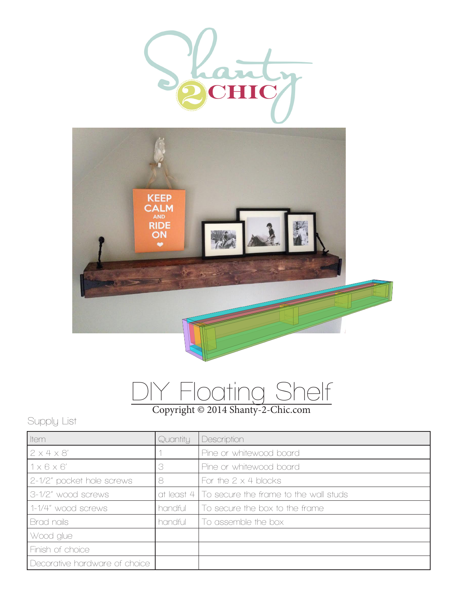



## DIY Floating Shelf Copyright © 2014 Shanty-2-Chic.com

## Supply List

| <b>I</b> tem                  | Quantity | Description                                      |
|-------------------------------|----------|--------------------------------------------------|
| 2x4x8'                        |          | Pine or whitewood board                          |
| $1 \times 6 \times 6'$        |          | Pine or whitewood board                          |
| 2-1/2" pocket hole screws     |          | For the $2 \times 4$ blocks                      |
| 3-1/2" wood screws            |          | at least 4 To secure the frame to the wall studs |
| 1-1/4" wood screws            | handful  | To secure the box to the frame                   |
| Brad nails                    | handful  | To assemble the box                              |
| Wood glue                     |          |                                                  |
| Finish of choice              |          |                                                  |
| Decorative hardware of choice |          |                                                  |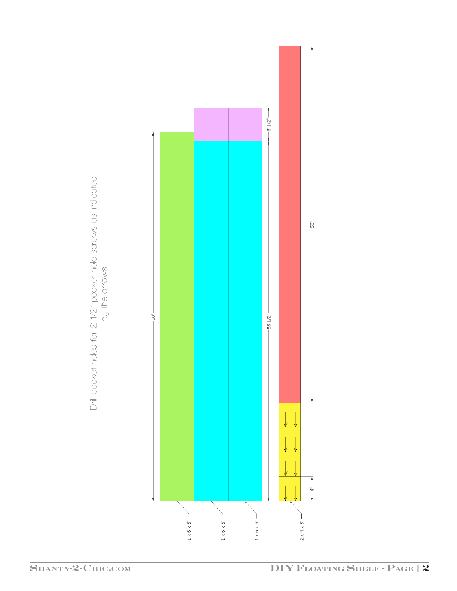Drill pocket holes for 2-1/2" pocket hole screws as indicated Drill pocket holes for 2-1/2" pocket hole screws as indicated by the arrows. by the arrows.